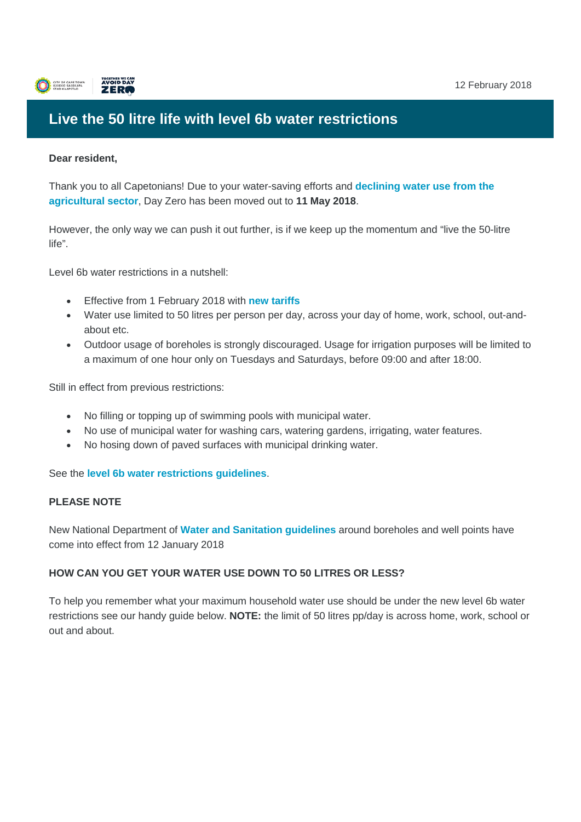

# **Live the 50 litre life with level 6b water restrictions**

#### **Dear resident,**

Thank you to all Capetonians! Due to your water-saving efforts and **[declining water use from the](http://www.capetown.gov.za/Media-and-news/Day%20Zero%20projection%20moves%20out%20due%20to%20declining%20agricultural%20usage)  [agricultural sector](http://www.capetown.gov.za/Media-and-news/Day%20Zero%20projection%20moves%20out%20due%20to%20declining%20agricultural%20usage)**, Day Zero has been moved out to **11 May 2018**.

However, the only way we can push it out further, is if we keep up the momentum and "live the 50-litre life".

Level 6b water restrictions in a nutshell:

- Effective from 1 February 2018 with **[new tariffs](http://resource.capetown.gov.za/documentcentre/Documents/Forms,%20notices,%20tariffs%20and%20lists/Water%20Sanitation_restriction_Tariffs_L6.pdf)**
- Water use limited to 50 litres per person per day, across your day of home, work, school, out-andabout etc.
- Outdoor usage of boreholes is strongly discouraged. Usage for irrigation purposes will be limited to a maximum of one hour only on Tuesdays and Saturdays, before 09:00 and after 18:00.

Still in effect from previous restrictions:

- No filling or topping up of swimming pools with municipal water.
- No use of municipal water for washing cars, watering gardens, irrigating, water features.
- No hosing down of paved surfaces with municipal drinking water.

See the **[level 6b water restrictions guidelines](http://resource.capetown.gov.za/documentcentre/Documents/Procedures,%20guidelines%20and%20regulations/Level%206B%20Water%20restriction%20guidelines-%20eng.pdf)**.

#### **PLEASE NOTE**

New National Department of **[Water and Sanitation guidelines](http://www.capetown.gov.za/City-Connect/Apply/Municipal-services/Water-and-sanitation/apply-to-sink-a-borehole-or-wellpoint-or-use-an-alternative-source-of-water)** around boreholes and well points have come into effect from 12 January 2018

## **HOW CAN YOU GET YOUR WATER USE DOWN TO 50 LITRES OR LESS?**

To help you remember what your maximum household water use should be under the new level 6b water restrictions see our handy guide below. **NOTE:** the limit of 50 litres pp/day is across home, work, school or out and about.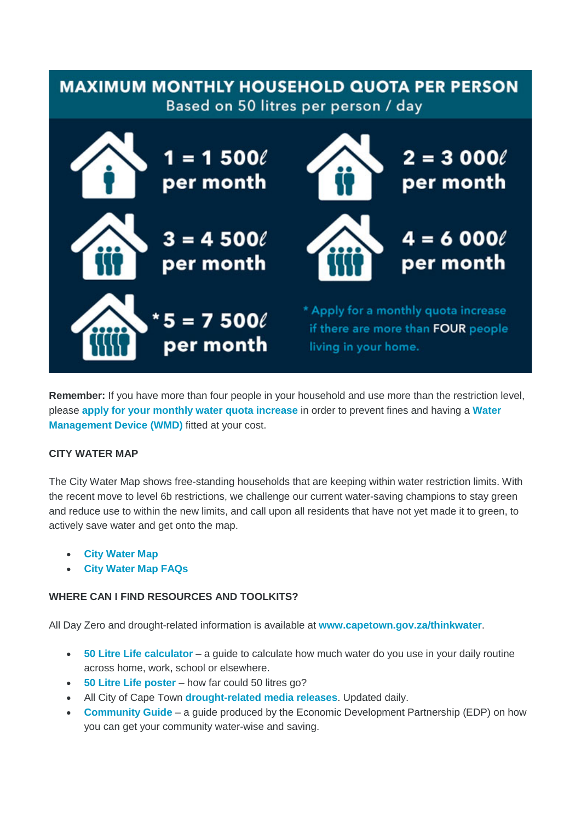

**Remember:** If you have more than four people in your household and use more than the restriction level, please **[apply for your monthly water quota increase](http://www.capetown.gov.za/City-Connect/Apply/Municipal-services/Water-and-sanitation/Apply-for-exemption-from-water-restrictions/Apply%20for%20exemption%20from%20water%20restrictions)** in order to prevent fines and having a **[Water](http://www.capetown.gov.za/Family%20and%20home/residential-utility-services/residential-water-and-sanitation-services/water-management-devices)  [Management Device \(WMD\)](http://www.capetown.gov.za/Family%20and%20home/residential-utility-services/residential-water-and-sanitation-services/water-management-devices)** fitted at your cost.

## **CITY WATER MAP**

The City Water Map shows free-standing households that are keeping within water restriction limits. With the recent move to level 6b restrictions, we challenge our current water-saving champions to stay green and reduce use to within the new limits, and call upon all residents that have not yet made it to green, to actively save water and get onto the map.

- **[City Water Map](http://www.capetown.gov.za/Family%20and%20home/Residential-utility-services/Residential-water-and-sanitation-services/cape-town-water-map)**
- **[City Water Map FAQs](http://resource.capetown.gov.za/documentcentre/Documents/Procedures,%20guidelines%20and%20regulations/Water%20Map%20FAQs.pdf)**

## **WHERE CAN I FIND RESOURCES AND TOOLKITS?**

All Day Zero and drought-related information is available at **[www.capetown.gov.za/thinkwater](http://www.capetown.gov.za/thinkwater)**.

- **[50 Litre Life calculator](http://coct.co./thinkwater)** a guide to calculate how much water do you use in your daily routine across home, work, school or elsewhere.
- **[50 Litre Life poster](http://resource.capetown.gov.za/documentcentre/Documents/Graphics%20and%20educational%20material/50%20Litre%20Life%20Poster-colour.pdf)** how far could 50 litres go?
- All City of Cape Town **[drought-related media releases](http://www.capetown.gov.za/Media-and-news#k=thinkwater)**. Updated daily.
- **[Community Guide](http://resource.capetown.gov.za/documentcentre/Documents/Procedures,%20guidelines%20and%20regulations/Your%20Community%20Water%20Plan%20-%20A%20Quick%20Guide.pdf)** a guide produced by the Economic Development Partnership (EDP) on how you can get your community water-wise and saving.